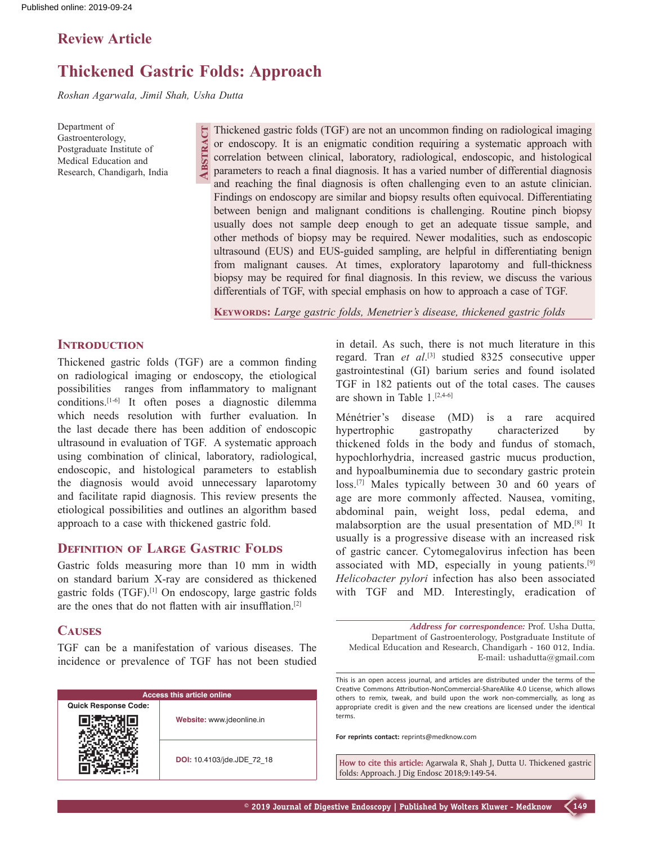# **Review Article**

# **Thickened Gastric Folds: Approach**

**Abstract**

*Roshan Agarwala, Jimil Shah, Usha Dutta*

Department of Gastroenterology, Postgraduate Institute of Medical Education and Research, Chandigarh, India

Thickened gastric folds (TGF) are not an uncommon finding on radiological imaging or endoscopy. It is an enigmatic condition requiring a systematic approach with correlation between clinical, laboratory, radiological, endoscopic, and histological parameters to reach a final diagnosis. It has a varied number of differential diagnosis and reaching the final diagnosis is often challenging even to an astute clinician. Findings on endoscopy are similar and biopsy results often equivocal. Differentiating between benign and malignant conditions is challenging. Routine pinch biopsy usually does not sample deep enough to get an adequate tissue sample, and other methods of biopsy may be required. Newer modalities, such as endoscopic ultrasound (EUS) and EUS‑guided sampling, are helpful in differentiating benign from malignant causes. At times, exploratory laparotomy and full-thickness biopsy may be required for final diagnosis. In this review, we discuss the various differentials of TGF, with special emphasis on how to approach a case of TGF.

**Keywords:** *Large gastric folds, Menetrier's disease, thickened gastric folds*

#### **INTRODUCTION**

Thickened gastric folds (TGF) are a common finding on radiological imaging or endoscopy, the etiological possibilities ranges from inflammatory to malignant conditions.[1-6] It often poses a diagnostic dilemma which needs resolution with further evaluation. In the last decade there has been addition of endoscopic ultrasound in evaluation of TGF. A systematic approach using combination of clinical, laboratory, radiological, endoscopic, and histological parameters to establish the diagnosis would avoid unnecessary laparotomy and facilitate rapid diagnosis. This review presents the etiological possibilities and outlines an algorithm based approach to a case with thickened gastric fold.

# **DEFINITION OF LARGE GASTRIC FOLDS**

Gastric folds measuring more than 10 mm in width on standard barium X‑ray are considered as thickened gastric folds (TGF).[1] On endoscopy, large gastric folds are the ones that do not flatten with air insufflation.[2]

### **Causes**

TGF can be a manifestation of various diseases. The incidence or prevalence of TGF has not been studied

| <b>Access this article online</b> |                            |  |  |  |
|-----------------------------------|----------------------------|--|--|--|
| <b>Quick Response Code:</b>       |                            |  |  |  |
|                                   | Website: www.jdeonline.in  |  |  |  |
|                                   | DOI: 10.4103/jde.JDE 72 18 |  |  |  |

in detail. As such, there is not much literature in this regard. Tran *et al*. [3] studied 8325 consecutive upper gastrointestinal (GI) barium series and found isolated TGF in 182 patients out of the total cases. The causes are shown in Table 1.[2,4-6]

Ménétrier's disease (MD) is a rare acquired hypertrophic gastropathy characterized by thickened folds in the body and fundus of stomach, hypochlorhydria, increased gastric mucus production, and hypoalbuminemia due to secondary gastric protein loss.[7] Males typically between 30 and 60 years of age are more commonly affected. Nausea, vomiting, abdominal pain, weight loss, pedal edema, and malabsorption are the usual presentation of MD.[8] It usually is a progressive disease with an increased risk of gastric cancer. Cytomegalovirus infection has been associated with MD, especially in young patients.[9] *Helicobacter pylori* infection has also been associated with TGF and MD. Interestingly, eradication of

*Address for correspondence:* Prof. Usha Dutta, Department of Gastroenterology, Postgraduate Institute of Medical Education and Research, Chandigarh ‑ 160 012, India. E‑mail: ushadutta@gmail.com

**For reprints contact:** reprints@medknow.com

**How to cite this article:** Agarwala R, Shah J, Dutta U. Thickened gastric folds: Approach. J Dig Endosc 2018;9:149-54.

This is an open access journal, and articles are distributed under the terms of the Creative Commons Attribution‑NonCommercial‑ShareAlike 4.0 License, which allows others to remix, tweak, and build upon the work non‑commercially, as long as appropriate credit is given and the new creations are licensed under the identical terms.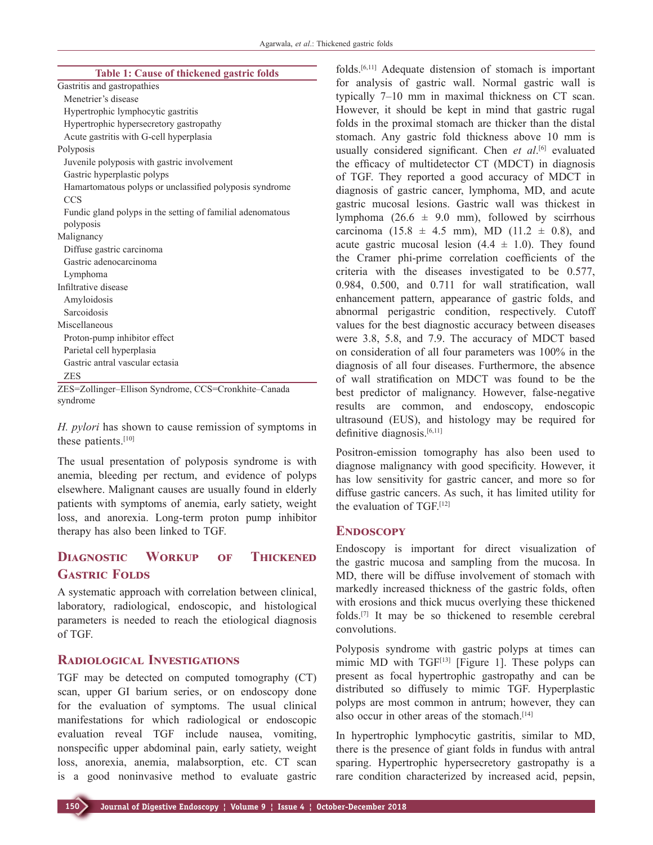|  |  |  |  | <b>Table 1: Cause of thickened gastric folds</b> |  |  |
|--|--|--|--|--------------------------------------------------|--|--|
|--|--|--|--|--------------------------------------------------|--|--|

| Gastritis and gastropathies                                |  |  |  |  |
|------------------------------------------------------------|--|--|--|--|
| Menetrier's disease                                        |  |  |  |  |
| Hypertrophic lymphocytic gastritis                         |  |  |  |  |
| Hypertrophic hypersecretory gastropathy                    |  |  |  |  |
| Acute gastritis with G-cell hyperplasia                    |  |  |  |  |
| Polyposis                                                  |  |  |  |  |
| Juvenile polyposis with gastric involvement                |  |  |  |  |
| Gastric hyperplastic polyps                                |  |  |  |  |
| Hamartomatous polyps or unclassified polyposis syndrome    |  |  |  |  |
| <b>CCS</b>                                                 |  |  |  |  |
| Fundic gland polyps in the setting of familial adenomatous |  |  |  |  |
| polyposis                                                  |  |  |  |  |
| Malignancy                                                 |  |  |  |  |
| Diffuse gastric carcinoma                                  |  |  |  |  |
| Gastric adenocarcinoma                                     |  |  |  |  |
| Lymphoma                                                   |  |  |  |  |
| Infiltrative disease                                       |  |  |  |  |
| Amyloidosis                                                |  |  |  |  |
| Sarcoidosis                                                |  |  |  |  |
| Miscellaneous                                              |  |  |  |  |
| Proton-pump inhibitor effect                               |  |  |  |  |
| Parietal cell hyperplasia                                  |  |  |  |  |
| Gastric antral vascular ectasia                            |  |  |  |  |
| <b>ZES</b>                                                 |  |  |  |  |
| ZES=Zollinger-Ellison Syndrome, CCS=Cronkhite-Canada       |  |  |  |  |

syndrome

*H. pylori* has shown to cause remission of symptoms in these patients.<sup>[10]</sup>

The usual presentation of polyposis syndrome is with anemia, bleeding per rectum, and evidence of polyps elsewhere. Malignant causes are usually found in elderly patients with symptoms of anemia, early satiety, weight loss, and anorexia. Long-term proton pump inhibitor therapy has also been linked to TGF.

# **Diagnostic Workup of Thickened GASTRIC FOLDS**

A systematic approach with correlation between clinical, laboratory, radiological, endoscopic, and histological parameters is needed to reach the etiological diagnosis of TGF.

### **Radiological Investigations**

TGF may be detected on computed tomography (CT) scan, upper GI barium series, or on endoscopy done for the evaluation of symptoms. The usual clinical manifestations for which radiological or endoscopic evaluation reveal TGF include nausea, vomiting, nonspecific upper abdominal pain, early satiety, weight loss, anorexia, anemia, malabsorption, etc. CT scan is a good noninvasive method to evaluate gastric

folds.[6,11] Adequate distension of stomach is important for analysis of gastric wall. Normal gastric wall is typically 7–10 mm in maximal thickness on CT scan. However, it should be kept in mind that gastric rugal folds in the proximal stomach are thicker than the distal stomach. Any gastric fold thickness above 10 mm is usually considered significant. Chen *et al*. [6] evaluated the efficacy of multidetector CT (MDCT) in diagnosis of TGF. They reported a good accuracy of MDCT in diagnosis of gastric cancer, lymphoma, MD, and acute gastric mucosal lesions. Gastric wall was thickest in lymphoma (26.6  $\pm$  9.0 mm), followed by scirrhous carcinoma (15.8  $\pm$  4.5 mm), MD (11.2  $\pm$  0.8), and acute gastric mucosal lesion  $(4.4 \pm 1.0)$ . They found the Cramer phi‑prime correlation coefficients of the criteria with the diseases investigated to be 0.577, 0.984, 0.500, and 0.711 for wall stratification, wall enhancement pattern, appearance of gastric folds, and abnormal perigastric condition, respectively. Cutoff values for the best diagnostic accuracy between diseases were 3.8, 5.8, and 7.9. The accuracy of MDCT based on consideration of all four parameters was 100% in the diagnosis of all four diseases. Furthermore, the absence of wall stratification on MDCT was found to be the best predictor of malignancy. However, false-negative results are common, and endoscopy, endoscopic ultrasound (EUS), and histology may be required for definitive diagnosis.<sup>[6,11]</sup>

Positron‑emission tomography has also been used to diagnose malignancy with good specificity. However, it has low sensitivity for gastric cancer, and more so for diffuse gastric cancers. As such, it has limited utility for the evaluation of TGF.[12]

#### **ENDOSCOPY**

Endoscopy is important for direct visualization of the gastric mucosa and sampling from the mucosa. In MD, there will be diffuse involvement of stomach with markedly increased thickness of the gastric folds, often with erosions and thick mucus overlying these thickened folds.[7] It may be so thickened to resemble cerebral convolutions.

Polyposis syndrome with gastric polyps at times can mimic MD with TGF<sup>[13]</sup> [Figure 1]. These polyps can present as focal hypertrophic gastropathy and can be distributed so diffusely to mimic TGF. Hyperplastic polyps are most common in antrum; however, they can also occur in other areas of the stomach.<sup>[14]</sup>

In hypertrophic lymphocytic gastritis, similar to MD, there is the presence of giant folds in fundus with antral sparing. Hypertrophic hypersecretory gastropathy is a rare condition characterized by increased acid, pepsin,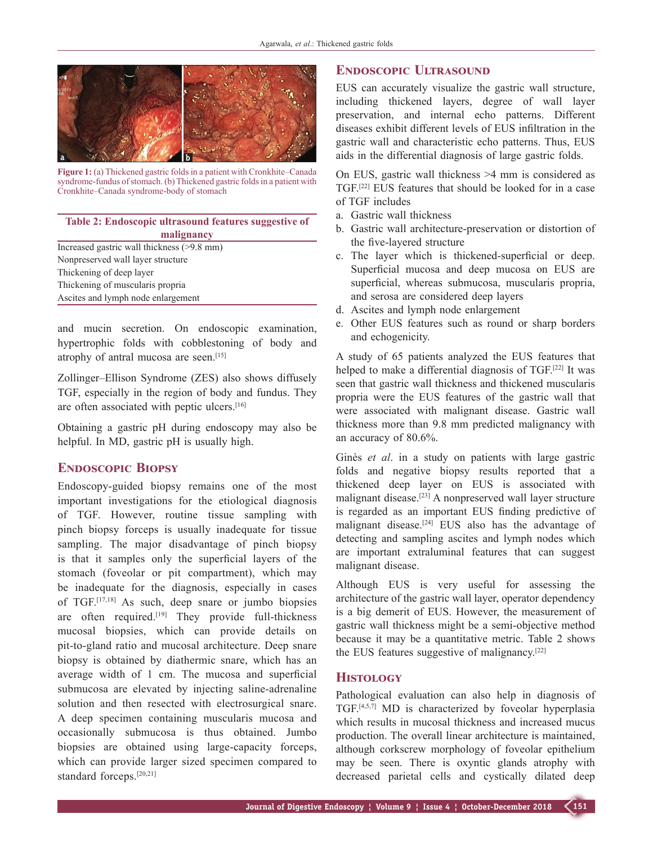

**Figure 1:** (a) Thickened gastric foldsin a patient with Cronkhite–Canada syndrome-fundus of stomach. (b) Thickened gastric folds in a patient with Cronkhite–Canada syndrome‑body of stomach

#### **Table 2: Endoscopic ultrasound features suggestive of malignancy**

Increased gastric wall thickness (>9.8 mm) Nonpreserved wall layer structure Thickening of deep layer Thickening of muscularis propria Ascites and lymph node enlargement

and mucin secretion. On endoscopic examination, hypertrophic folds with cobblestoning of body and atrophy of antral mucosa are seen.[15]

Zollinger–Ellison Syndrome (ZES) also shows diffusely TGF, especially in the region of body and fundus. They are often associated with peptic ulcers.[16]

Obtaining a gastric pH during endoscopy may also be helpful. In MD, gastric pH is usually high.

### **Endoscopic Biopsy**

Endoscopy‑guided biopsy remains one of the most important investigations for the etiological diagnosis of TGF. However, routine tissue sampling with pinch biopsy forceps is usually inadequate for tissue sampling. The major disadvantage of pinch biopsy is that it samples only the superficial layers of the stomach (foveolar or pit compartment), which may be inadequate for the diagnosis, especially in cases of TGF.[17,18] As such, deep snare or jumbo biopsies are often required.<sup>[19]</sup> They provide full-thickness mucosal biopsies, which can provide details on pit-to-gland ratio and mucosal architecture. Deep snare biopsy is obtained by diathermic snare, which has an average width of 1 cm. The mucosa and superficial submucosa are elevated by injecting saline-adrenaline solution and then resected with electrosurgical snare. A deep specimen containing muscularis mucosa and occasionally submucosa is thus obtained. Jumbo biopsies are obtained using large-capacity forceps, which can provide larger sized specimen compared to standard forceps.<sup>[20,21]</sup>

## **Endoscopic Ultrasound**

EUS can accurately visualize the gastric wall structure, including thickened layers, degree of wall layer preservation, and internal echo patterns. Different diseases exhibit different levels of EUS infiltration in the gastric wall and characteristic echo patterns. Thus, EUS aids in the differential diagnosis of large gastric folds.

On EUS, gastric wall thickness >4 mm is considered as TGF.[22] EUS features that should be looked for in a case of TGF includes

- a. Gastric wall thickness
- b. Gastric wall architecture-preservation or distortion of the five-layered structure
- c. The layer which is thickened‑superficial or deep. Superficial mucosa and deep mucosa on EUS are superficial, whereas submucosa, muscularis propria, and serosa are considered deep layers
- d. Ascites and lymph node enlargement
- e. Other EUS features such as round or sharp borders and echogenicity.

A study of 65 patients analyzed the EUS features that helped to make a differential diagnosis of TGF.[22] It was seen that gastric wall thickness and thickened muscularis propria were the EUS features of the gastric wall that were associated with malignant disease. Gastric wall thickness more than 9.8 mm predicted malignancy with an accuracy of 80.6%.

Ginès *et al*. in a study on patients with large gastric folds and negative biopsy results reported that a thickened deep layer on EUS is associated with malignant disease.[23] A nonpreserved wall layer structure is regarded as an important EUS finding predictive of malignant disease.[24] EUS also has the advantage of detecting and sampling ascites and lymph nodes which are important extraluminal features that can suggest malignant disease.

Although EUS is very useful for assessing the architecture of the gastric wall layer, operator dependency is a big demerit of EUS. However, the measurement of gastric wall thickness might be a semi‑objective method because it may be a quantitative metric. Table 2 shows the EUS features suggestive of malignancy.[22]

### **Histology**

Pathological evaluation can also help in diagnosis of TGF.[4,5,7] MD is characterized by foveolar hyperplasia which results in mucosal thickness and increased mucus production. The overall linear architecture is maintained, although corkscrew morphology of foveolar epithelium may be seen. There is oxyntic glands atrophy with decreased parietal cells and cystically dilated deep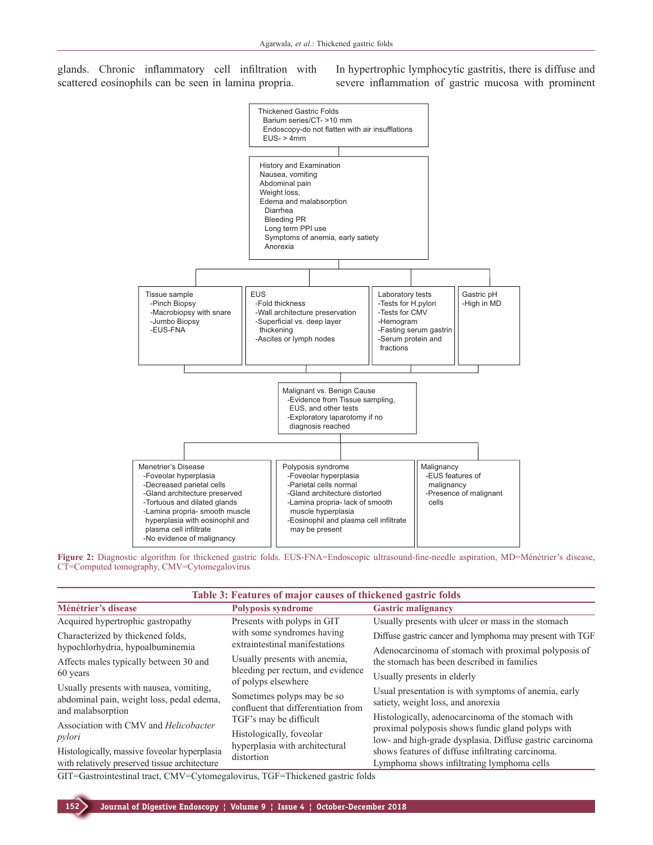glands. Chronic inflammatory cell infiltration with scattered eosinophils can be seen in lamina propria.

In hypertrophic lymphocytic gastritis, there is diffuse and severe inflammation of gastric mucosa with prominent





| Table 3: Features of major causes of thickened gastric folds                                  |                                                                   |                                                                                                                                                                                                                  |  |  |  |  |
|-----------------------------------------------------------------------------------------------|-------------------------------------------------------------------|------------------------------------------------------------------------------------------------------------------------------------------------------------------------------------------------------------------|--|--|--|--|
| Ménétrier's disease                                                                           | <b>Polyposis syndrome</b>                                         | <b>Gastric malignancy</b>                                                                                                                                                                                        |  |  |  |  |
| Acquired hypertrophic gastropathy                                                             | Presents with polyps in GIT                                       | Usually presents with ulcer or mass in the stomach                                                                                                                                                               |  |  |  |  |
| Characterized by thickened folds,                                                             | with some syndromes having                                        | Diffuse gastric cancer and lymphoma may present with TGF                                                                                                                                                         |  |  |  |  |
| hypochlorhydria, hypoalbuminemia                                                              | extraintestinal manifestations                                    | Adenocarcinoma of stomach with proximal polyposis of                                                                                                                                                             |  |  |  |  |
| Affects males typically between 30 and<br>60 years                                            | Usually presents with anemia,                                     | the stomach has been described in families                                                                                                                                                                       |  |  |  |  |
|                                                                                               | bleeding per rectum, and evidence<br>of polyps elsewhere          | Usually presents in elderly                                                                                                                                                                                      |  |  |  |  |
| Usually presents with nausea, vomiting,<br>abdominal pain, weight loss, pedal edema,          | Sometimes polyps may be so<br>confluent that differentiation from | Usual presentation is with symptoms of anemia, early<br>satiety, weight loss, and anorexia                                                                                                                       |  |  |  |  |
| and malabsorption                                                                             | TGF's may be difficult                                            | Histologically, adenocarcinoma of the stomach with                                                                                                                                                               |  |  |  |  |
| Association with CMV and Helicobacter<br>pylori                                               | Histologically, foveolar                                          | proximal polyposis shows fundic gland polyps with<br>low- and high-grade dysplasia. Diffuse gastric carcinoma<br>shows features of diffuse infiltrating carcinoma.<br>Lymphoma shows infiltrating lymphoma cells |  |  |  |  |
| Histologically, massive foveolar hyperplasia<br>with relatively preserved tissue architecture | hyperplasia with architectural<br>distortion                      |                                                                                                                                                                                                                  |  |  |  |  |
| المالية والمستحدث المتناقص والمستحدثة المستحدثة                                               |                                                                   |                                                                                                                                                                                                                  |  |  |  |  |

GIT=Gastrointestinal tract, CMV=Cytomegalovirus, TGF=Thickened gastric folds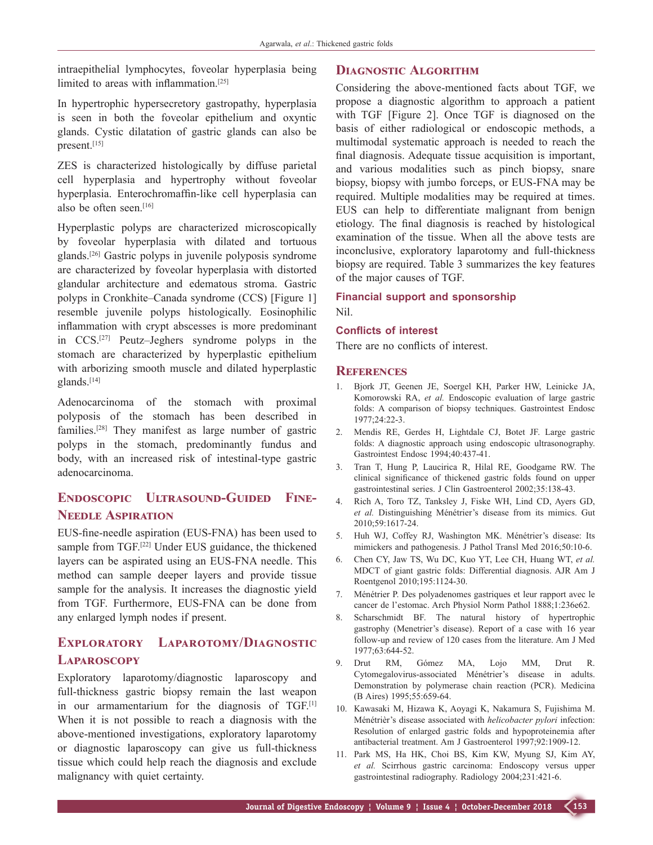intraepithelial lymphocytes, foveolar hyperplasia being limited to areas with inflammation.<sup>[25]</sup>

In hypertrophic hypersecretory gastropathy, hyperplasia is seen in both the foveolar epithelium and oxyntic glands. Cystic dilatation of gastric glands can also be present.[15]

ZES is characterized histologically by diffuse parietal cell hyperplasia and hypertrophy without foveolar hyperplasia. Enterochromaffin-like cell hyperplasia can also be often seen.[16]

Hyperplastic polyps are characterized microscopically by foveolar hyperplasia with dilated and tortuous glands.[26] Gastric polyps in juvenile polyposis syndrome are characterized by foveolar hyperplasia with distorted glandular architecture and edematous stroma. Gastric polyps in Cronkhite–Canada syndrome (CCS) [Figure 1] resemble juvenile polyps histologically. Eosinophilic inflammation with crypt abscesses is more predominant in CCS.[27] Peutz–Jeghers syndrome polyps in the stomach are characterized by hyperplastic epithelium with arborizing smooth muscle and dilated hyperplastic glands.[14]

Adenocarcinoma of the stomach with proximal polyposis of the stomach has been described in families.[28] They manifest as large number of gastric polyps in the stomach, predominantly fundus and body, with an increased risk of intestinal-type gastric adenocarcinoma.

# **Endoscopic Ultrasound‑Guided Fine‑ Needle Aspiration**

EUS‑fine‑needle aspiration (EUS‑FNA) has been used to sample from TGF.<sup>[22]</sup> Under EUS guidance, the thickened layers can be aspirated using an EUS‑FNA needle. This method can sample deeper layers and provide tissue sample for the analysis. It increases the diagnostic yield from TGF. Furthermore, EUS‑FNA can be done from any enlarged lymph nodes if present.

# **Exploratory Laparotomy/Diagnostic Laparoscopy**

Exploratory laparotomy/diagnostic laparoscopy and full-thickness gastric biopsy remain the last weapon in our armamentarium for the diagnosis of TGF.<sup>[1]</sup> When it is not possible to reach a diagnosis with the above‑mentioned investigations, exploratory laparotomy or diagnostic laparoscopy can give us full-thickness tissue which could help reach the diagnosis and exclude malignancy with quiet certainty.

### **Diagnostic Algorithm**

Considering the above‑mentioned facts about TGF, we propose a diagnostic algorithm to approach a patient with TGF [Figure 2]. Once TGF is diagnosed on the basis of either radiological or endoscopic methods, a multimodal systematic approach is needed to reach the final diagnosis. Adequate tissue acquisition is important, and various modalities such as pinch biopsy, snare biopsy, biopsy with jumbo forceps, or EUS‑FNA may be required. Multiple modalities may be required at times. EUS can help to differentiate malignant from benign etiology. The final diagnosis is reached by histological examination of the tissue. When all the above tests are inconclusive, exploratory laparotomy and full-thickness biopsy are required. Table 3 summarizes the key features of the major causes of TGF.

#### **Financial support and sponsorship** Nil.

#### **Conflicts of interest**

There are no conflicts of interest.

#### **References**

- 1. Bjork JT, Geenen JE, Soergel KH, Parker HW, Leinicke JA, Komorowski RA, *et al.* Endoscopic evaluation of large gastric folds: A comparison of biopsy techniques. Gastrointest Endosc 1977;24:22‑3.
- 2. Mendis RE, Gerdes H, Lightdale CJ, Botet JF. Large gastric folds: A diagnostic approach using endoscopic ultrasonography. Gastrointest Endosc 1994;40:437‑41.
- 3. Tran T, Hung P, Laucirica R, Hilal RE, Goodgame RW. The clinical significance of thickened gastric folds found on upper gastrointestinal series. J Clin Gastroenterol 2002;35:138-43.
- Rich A, Toro TZ, Tanksley J, Fiske WH, Lind CD, Ayers GD, *et al.* Distinguishing Ménétrier's disease from its mimics. Gut 2010;59:1617‑24.
- 5. Huh WJ, Coffey RJ, Washington MK. Ménétrier's disease: Its mimickers and pathogenesis. J Pathol Transl Med 2016;50:10-6.
- 6. Chen CY, Jaw TS, Wu DC, Kuo YT, Lee CH, Huang WT, *et al.* MDCT of giant gastric folds: Differential diagnosis. AJR Am J Roentgenol 2010;195:1124‑30.
- 7. Ménétrier P. Des polyadenomes gastriques et leur rapport avec le cancer de l'estomac. Arch Physiol Norm Pathol 1888;1:236e62.
- 8. Scharschmidt BF. The natural history of hypertrophic gastrophy (Menetrier's disease). Report of a case with 16 year follow‑up and review of 120 cases from the literature. Am J Med 1977;63:644‑52.
- 9. Drut RM, Gómez MA, Lojo MM, Drut R. Cytomegalovirus‑associated Ménétrier's disease in adults. Demonstration by polymerase chain reaction (PCR). Medicina (B Aires) 1995;55:659‑64.
- 10. Kawasaki M, Hizawa K, Aoyagi K, Nakamura S, Fujishima M. Ménétrièr's disease associated with *helicobacter pylori* infection: Resolution of enlarged gastric folds and hypoproteinemia after antibacterial treatment. Am J Gastroenterol 1997;92:1909-12.
- 11. Park MS, Ha HK, Choi BS, Kim KW, Myung SJ, Kim AY, *et al.* Scirrhous gastric carcinoma: Endoscopy versus upper gastrointestinal radiography. Radiology 2004;231:421-6.